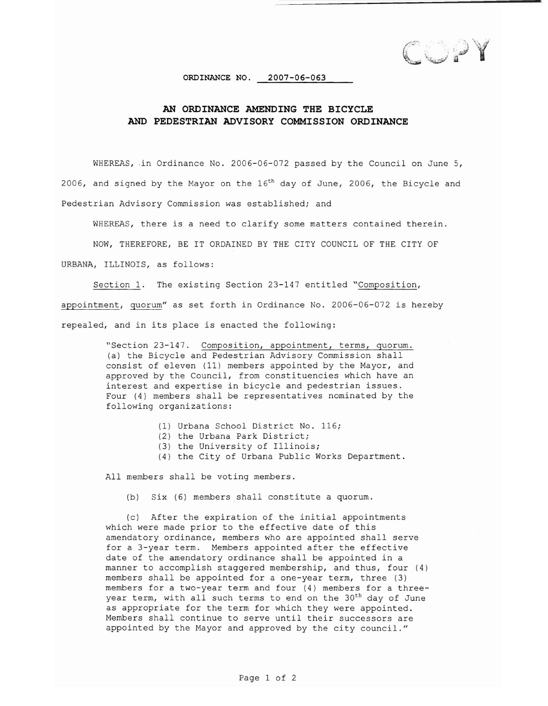$\sim$ 

## **ORDINANCE NO. 2007-06-063**

## **AN ORDINANCE AMENDING THE BICYCLE AND PEDESTRIAN ADVISORY COMMISSION ORDINANCE**

WHEREAS, in Ordinance No. 2006-06-072 passed by the Council on June 5, 2006, and signed by the Mayor on the  $16<sup>th</sup>$  day of June, 2006, the Bicycle and Pedestrian Advisory Commission was established; and

WHEREAS, there is a need to clarify some matters contained therein.

NOW, THEREFORE, BE IT ORDAINED BY THE CITY COUNCIL OF THE CITY OF

URBANA, ILLINOIS, as follows:

Section 1. The existing Section 23-147 entitled "Composition, appointment, quorum" as set forth in Ordinance No. 2006-06-072 is hereby repealed, and in its place is enacted the following:

> "Section 23-147. Composition, appointment, terms, quorum. (a) the Bicycle and Pedestrian Advisory Commission shall consist of eleven (11) members appointed by the Mayor, and approved by the Council, from constituencies which have an interest and expertise in bicycle and pedestrian issues. Four (4) members shall be representatives nominated by the following organizations:

- (1) Urbana School District No. 116;
- (2) the Urbana Park District;
- (3) the University of Illinois;
- (4) the City of Urbana Public Works Department.

All members shall be voting members.

(b) Six (6) members shall constitute a quorum.

(c) After the expiration of the initial appointments which were made prior to the effective date of this amendatory ordinance, members who are appointed shall serve for a 3-year term. Members appointed after the effective date of the amendatory ordinance shall be appointed in a manner to accomplish staggered membership, and thus, four (4) members shall be appointed for a one-year term, three (3) members for a two-year term and four (4) members for a threeyear term, with all such terms to end on the 30<sup>th</sup> day of June as appropriate for the term for which they were appointed. Members shall continue to serve until their successors are appointed by the Mayor and approved by the city council."